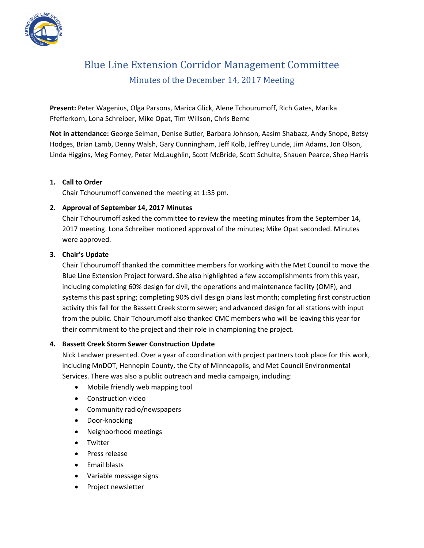

# Blue Line Extension Corridor Management Committee Minutes of the December 14, 2017 Meeting

**Present:** Peter Wagenius, Olga Parsons, Marica Glick, Alene Tchourumoff, Rich Gates, Marika Pfefferkorn, Lona Schreiber, Mike Opat, Tim Willson, Chris Berne

**Not in attendance:** George Selman, Denise Butler, Barbara Johnson, Aasim Shabazz, Andy Snope, Betsy Hodges, Brian Lamb, Denny Walsh, Gary Cunningham, Jeff Kolb, Jeffrey Lunde, Jim Adams, Jon Olson, Linda Higgins, Meg Forney, Peter McLaughlin, Scott McBride, Scott Schulte, Shauen Pearce, Shep Harris

## **1. Call to Order**

Chair Tchourumoff convened the meeting at 1:35 pm.

## **2. Approval of September 14, 2017 Minutes**

Chair Tchourumoff asked the committee to review the meeting minutes from the September 14, 2017 meeting. Lona Schreiber motioned approval of the minutes; Mike Opat seconded. Minutes were approved.

## **3. Chair's Update**

Chair Tchourumoff thanked the committee members for working with the Met Council to move the Blue Line Extension Project forward. She also highlighted a few accomplishments from this year, including completing 60% design for civil, the operations and maintenance facility (OMF), and systems this past spring; completing 90% civil design plans last month; completing first construction activity this fall for the Bassett Creek storm sewer; and advanced design for all stations with input from the public. Chair Tchourumoff also thanked CMC members who will be leaving this year for their commitment to the project and their role in championing the project.

#### **4. Bassett Creek Storm Sewer Construction Update**

Nick Landwer presented. Over a year of coordination with project partners took place for this work, including MnDOT, Hennepin County, the City of Minneapolis, and Met Council Environmental Services. There was also a public outreach and media campaign, including:

- Mobile friendly web mapping tool
- Construction video
- Community radio/newspapers
- Door-knocking
- Neighborhood meetings
- Twitter
- Press release
- Email blasts
- Variable message signs
- Project newsletter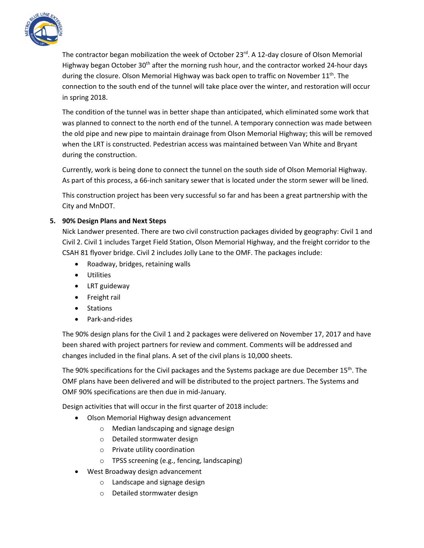

The contractor began mobilization the week of October 23 $^{rd}$ . A 12-day closure of Olson Memorial Highway began October 30<sup>th</sup> after the morning rush hour, and the contractor worked 24-hour days during the closure. Olson Memorial Highway was back open to traffic on November 11<sup>th</sup>. The connection to the south end of the tunnel will take place over the winter, and restoration will occur in spring 2018.

The condition of the tunnel was in better shape than anticipated, which eliminated some work that was planned to connect to the north end of the tunnel. A temporary connection was made between the old pipe and new pipe to maintain drainage from Olson Memorial Highway; this will be removed when the LRT is constructed. Pedestrian access was maintained between Van White and Bryant during the construction.

Currently, work is being done to connect the tunnel on the south side of Olson Memorial Highway. As part of this process, a 66-inch sanitary sewer that is located under the storm sewer will be lined.

This construction project has been very successful so far and has been a great partnership with the City and MnDOT.

# **5. 90% Design Plans and Next Steps**

Nick Landwer presented. There are two civil construction packages divided by geography: Civil 1 and Civil 2. Civil 1 includes Target Field Station, Olson Memorial Highway, and the freight corridor to the CSAH 81 flyover bridge. Civil 2 includes Jolly Lane to the OMF. The packages include:

- Roadway, bridges, retaining walls
- Utilities
- LRT guideway
- Freight rail
- Stations
- Park-and-rides

The 90% design plans for the Civil 1 and 2 packages were delivered on November 17, 2017 and have been shared with project partners for review and comment. Comments will be addressed and changes included in the final plans. A set of the civil plans is 10,000 sheets.

The 90% specifications for the Civil packages and the Systems package are due December 15<sup>th</sup>. The OMF plans have been delivered and will be distributed to the project partners. The Systems and OMF 90% specifications are then due in mid-January.

Design activities that will occur in the first quarter of 2018 include:

- Olson Memorial Highway design advancement
	- o Median landscaping and signage design
	- o Detailed stormwater design
	- o Private utility coordination
	- o TPSS screening (e.g., fencing, landscaping)
- West Broadway design advancement
	- o Landscape and signage design
	- o Detailed stormwater design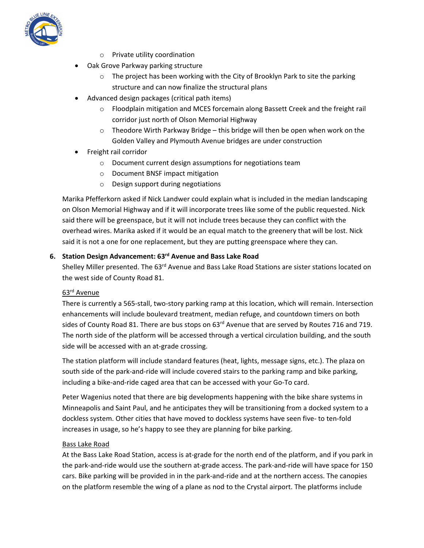

- o Private utility coordination
- Oak Grove Parkway parking structure
	- o The project has been working with the City of Brooklyn Park to site the parking structure and can now finalize the structural plans
- Advanced design packages (critical path items)
	- o Floodplain mitigation and MCES forcemain along Bassett Creek and the freight rail corridor just north of Olson Memorial Highway
	- $\circ$  Theodore Wirth Parkway Bridge this bridge will then be open when work on the Golden Valley and Plymouth Avenue bridges are under construction
- Freight rail corridor
	- o Document current design assumptions for negotiations team
	- o Document BNSF impact mitigation
	- o Design support during negotiations

Marika Pfefferkorn asked if Nick Landwer could explain what is included in the median landscaping on Olson Memorial Highway and if it will incorporate trees like some of the public requested. Nick said there will be greenspace, but it will not include trees because they can conflict with the overhead wires. Marika asked if it would be an equal match to the greenery that will be lost. Nick said it is not a one for one replacement, but they are putting greenspace where they can.

## **6. Station Design Advancement: 63rd Avenue and Bass Lake Road**

Shelley Miller presented. The 63<sup>rd</sup> Avenue and Bass Lake Road Stations are sister stations located on the west side of County Road 81.

#### 63rd Avenue

There is currently a 565-stall, two-story parking ramp at this location, which will remain. Intersection enhancements will include boulevard treatment, median refuge, and countdown timers on both sides of County Road 81. There are bus stops on 63<sup>rd</sup> Avenue that are served by Routes 716 and 719. The north side of the platform will be accessed through a vertical circulation building, and the south side will be accessed with an at-grade crossing.

The station platform will include standard features (heat, lights, message signs, etc.). The plaza on south side of the park-and-ride will include covered stairs to the parking ramp and bike parking, including a bike-and-ride caged area that can be accessed with your Go-To card.

Peter Wagenius noted that there are big developments happening with the bike share systems in Minneapolis and Saint Paul, and he anticipates they will be transitioning from a docked system to a dockless system. Other cities that have moved to dockless systems have seen five- to ten-fold increases in usage, so he's happy to see they are planning for bike parking.

#### Bass Lake Road

At the Bass Lake Road Station, access is at-grade for the north end of the platform, and if you park in the park-and-ride would use the southern at-grade access. The park-and-ride will have space for 150 cars. Bike parking will be provided in in the park-and-ride and at the northern access. The canopies on the platform resemble the wing of a plane as nod to the Crystal airport. The platforms include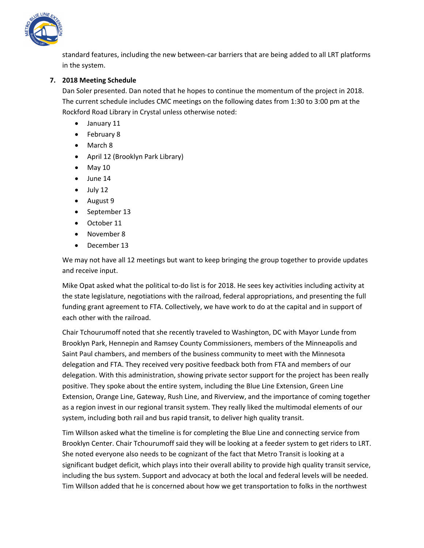

standard features, including the new between-car barriers that are being added to all LRT platforms in the system.

# **7. 2018 Meeting Schedule**

Dan Soler presented. Dan noted that he hopes to continue the momentum of the project in 2018. The current schedule includes CMC meetings on the following dates from 1:30 to 3:00 pm at the Rockford Road Library in Crystal unless otherwise noted:

- January 11
- February 8
- March 8
- April 12 (Brooklyn Park Library)
- $\bullet$  May 10
- June 14
- $\bullet$  July 12
- August 9
- September 13
- October 11
- November 8
- December 13

We may not have all 12 meetings but want to keep bringing the group together to provide updates and receive input.

Mike Opat asked what the political to-do list is for 2018. He sees key activities including activity at the state legislature, negotiations with the railroad, federal appropriations, and presenting the full funding grant agreement to FTA. Collectively, we have work to do at the capital and in support of each other with the railroad.

Chair Tchourumoff noted that she recently traveled to Washington, DC with Mayor Lunde from Brooklyn Park, Hennepin and Ramsey County Commissioners, members of the Minneapolis and Saint Paul chambers, and members of the business community to meet with the Minnesota delegation and FTA. They received very positive feedback both from FTA and members of our delegation. With this administration, showing private sector support for the project has been really positive. They spoke about the entire system, including the Blue Line Extension, Green Line Extension, Orange Line, Gateway, Rush Line, and Riverview, and the importance of coming together as a region invest in our regional transit system. They really liked the multimodal elements of our system, including both rail and bus rapid transit, to deliver high quality transit.

Tim Willson asked what the timeline is for completing the Blue Line and connecting service from Brooklyn Center. Chair Tchourumoff said they will be looking at a feeder system to get riders to LRT. She noted everyone also needs to be cognizant of the fact that Metro Transit is looking at a significant budget deficit, which plays into their overall ability to provide high quality transit service, including the bus system. Support and advocacy at both the local and federal levels will be needed. Tim Willson added that he is concerned about how we get transportation to folks in the northwest